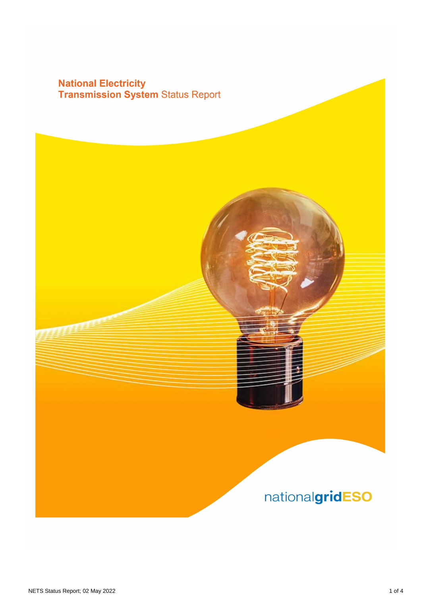## **National Electricity<br>Transmission System Status Report**

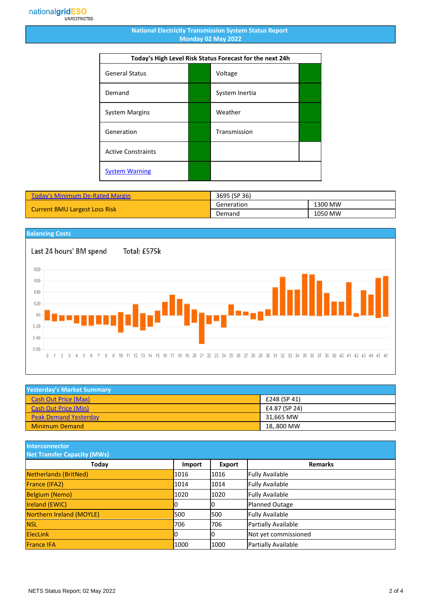## **National Electricity Transmission System Status Report Monday 02 May 2022**

| Today's High Level Risk Status Forecast for the next 24h |  |                |  |
|----------------------------------------------------------|--|----------------|--|
| <b>General Status</b>                                    |  | Voltage        |  |
| Demand                                                   |  | System Inertia |  |
| <b>System Margins</b>                                    |  | Weather        |  |
| Generation                                               |  | Transmission   |  |
| <b>Active Constraints</b>                                |  |                |  |
| <b>System Warning</b>                                    |  |                |  |

| <b>Today's Minimum De-Rated Margin</b> | 3695 (SP 36) |         |
|----------------------------------------|--------------|---------|
|                                        | Generation   | 1300 MW |
| <b>Current BMU Largest Loss Risk</b>   | Demand       | 1050 MW |



| <b>Yesterday's Market Summary</b> |               |
|-----------------------------------|---------------|
| <b>Cash Out Price (Max)</b>       | £248 (SP 41)  |
| <b>Cash Out Price (Min)</b>       | £4.87 (SP 24) |
| <b>Peak Demand Yesterday</b>      | 31.665 MW     |
| <b>Minimum Demand</b>             | 18,.800 MW    |

**Interconnector**

| <b>Net Transfer Capacity (MWs)</b> |        |        |                        |
|------------------------------------|--------|--------|------------------------|
| <b>Today</b>                       | Import | Export | <b>Remarks</b>         |
| Netherlands (BritNed)              | 1016   | 1016   | <b>Fully Available</b> |
| France (IFA2)                      | 1014   | 1014   | <b>Fully Available</b> |
| <b>Belgium (Nemo)</b>              | 1020   | 1020   | <b>Fully Available</b> |
| Ireland (EWIC)                     | 0      |        | <b>Planned Outage</b>  |
| Northern Ireland (MOYLE)           | 500    | 1500   | <b>Fully Available</b> |
| <b>NSL</b>                         | 706    | 706    | Partially Available    |
| <b>ElecLink</b>                    | 10     |        | Not yet commissioned   |
| <b>France IFA</b>                  | 1000   | 1000   | Partially Available    |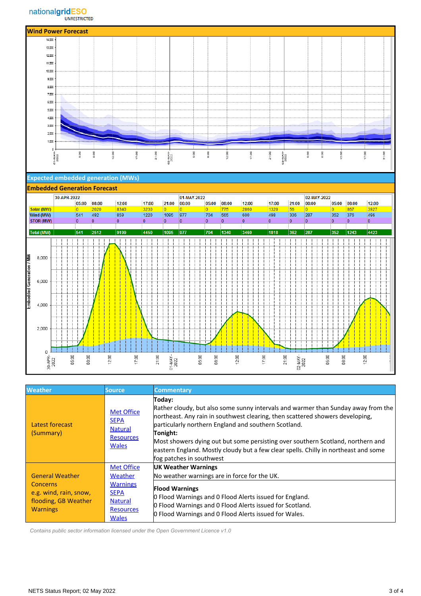





| <b>Weather</b>                                                                                                 | <b>Source</b>                                                                                                        | <b>Commentary</b>                                                                                                                                                                                                                                                                                                                                                                                                                                      |
|----------------------------------------------------------------------------------------------------------------|----------------------------------------------------------------------------------------------------------------------|--------------------------------------------------------------------------------------------------------------------------------------------------------------------------------------------------------------------------------------------------------------------------------------------------------------------------------------------------------------------------------------------------------------------------------------------------------|
| Latest forecast<br>(Summary)                                                                                   | <b>Met Office</b><br><b>SEPA</b><br><b>Natural</b><br><b>Resources</b><br><b>Wales</b>                               | Today:<br>Rather cloudy, but also some sunny intervals and warmer than Sunday away from the<br>northeast. Any rain in southwest clearing, then scattered showers developing,<br>particularly northern England and southern Scotland.<br>Tonight:<br>Most showers dying out but some persisting over southern Scotland, northern and<br>eastern England. Mostly cloudy but a few clear spells. Chilly in northeast and some<br>fog patches in southwest |
| <b>General Weather</b><br><b>Concerns</b><br>e.g. wind, rain, snow,<br>flooding, GB Weather<br><b>Warnings</b> | <b>Met Office</b><br>Weather<br><b>Warnings</b><br><b>SEPA</b><br><b>Natural</b><br><b>Resources</b><br><b>Wales</b> | <b>UK Weather Warnings</b><br>No weather warnings are in force for the UK.<br><b>Flood Warnings</b><br>0 Flood Warnings and 0 Flood Alerts issued for England.<br>0 Flood Warnings and 0 Flood Alerts issued for Scotland.<br>0 Flood Warnings and 0 Flood Alerts issued for Wales.                                                                                                                                                                    |

 *Contains public sector information licensed under the Open Government Licence v1.0*